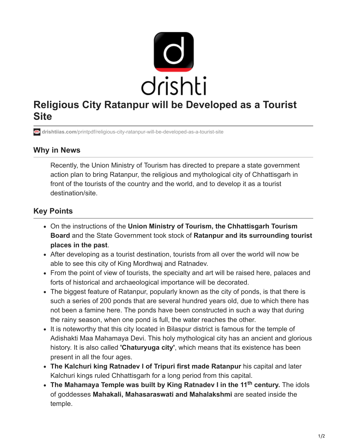

## **Religious City Ratanpur will be Developed as a Tourist Site**

**drishtiias.com**[/printpdf/religious-city-ratanpur-will-be-developed-as-a-tourist-site](https://www.drishtiias.com/printpdf/religious-city-ratanpur-will-be-developed-as-a-tourist-site)

## **Why in News**

Recently, the Union Ministry of Tourism has directed to prepare a state government action plan to bring Ratanpur, the religious and mythological city of Chhattisgarh in front of the tourists of the country and the world, and to develop it as a tourist destination/site.

## **Key Points**

- On the instructions of the **Union Ministry of Tourism, the Chhattisgarh Tourism Board** and the State Government took stock of **Ratanpur and its surrounding tourist places in the past**.
- After developing as a tourist destination, tourists from all over the world will now be able to see this city of King Mordhwaj and Ratnadev.
- From the point of view of tourists, the specialty and art will be raised here, palaces and forts of historical and archaeological importance will be decorated.
- The biggest feature of Ratanpur, popularly known as the city of ponds, is that there is such a series of 200 ponds that are several hundred years old, due to which there has not been a famine here. The ponds have been constructed in such a way that during the rainy season, when one pond is full, the water reaches the other.
- It is noteworthy that this city located in Bilaspur district is famous for the temple of Adishakti Maa Mahamaya Devi. This holy mythological city has an ancient and glorious history. It is also called **'Chaturyuga city'**, which means that its existence has been present in all the four ages.
- **The Kalchuri king Ratnadev I of Tripuri first made Ratanpur** his capital and later Kalchuri kings ruled Chhattisgarh for a long period from this capital.
- The Mahamaya Temple was built by King Ratnadev I in the 11<sup>th</sup> century. The idols of goddesses **Mahakali, Mahasaraswati and Mahalakshmi** are seated inside the temple.